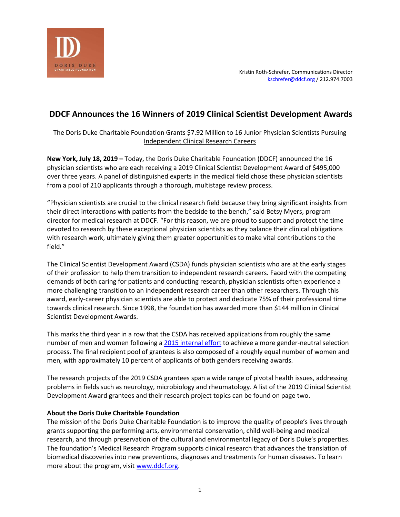

# **DDCF Announces the 16 Winners of 2019 Clinical Scientist Development Awards**

# The Doris Duke Charitable Foundation Grants \$7.92 Million to 16 Junior Physician Scientists Pursuing Independent Clinical Research Careers

**New York, July 18, 2019 –** Today, the Doris Duke Charitable Foundation (DDCF) announced the 16 physician scientists who are each receiving a 2019 Clinical Scientist Development Award of \$495,000 over three years. A panel of distinguished experts in the medical field chose these physician scientists from a pool of 210 applicants through a thorough, multistage review process.

"Physician scientists are crucial to the clinical research field because they bring significant insights from their direct interactions with patients from the bedside to the bench," said Betsy Myers, program director for medical research at DDCF. "For this reason, we are proud to support and protect the time devoted to research by these exceptional physician scientists as they balance their clinical obligations with research work, ultimately giving them greater opportunities to make vital contributions to the field."

The Clinical Scientist Development Award (CSDA) funds physician scientists who are at the early stages of their profession to help them transition to independent research careers. Faced with the competing demands of both caring for patients and conducting research, physician scientists often experience a more challenging transition to an independent research career than other researchers. Through this award, early-career physician scientists are able to protect and dedicate 75% of their professional time towards clinical research. Since 1998, the foundation has awarded more than \$144 million in Clinical Scientist Development Awards.

This marks the third year in a row that the CSDA has received applications from roughly the same number of men and women following a 2015 [internal effort](https://www.thelancet.com/journals/lancet/article/PIIS0140-6736(19)30211-9/fulltext) to achieve a more gender-neutral selection process. The final recipient pool of grantees is also composed of a roughly equal number of women and men, with approximately 10 percent of applicants of both genders receiving awards.

The research projects of the 2019 CSDA grantees span a wide range of pivotal health issues, addressing problems in fields such as neurology, microbiology and rheumatology. A list of the 2019 Clinical Scientist Development Award grantees and their research project topics can be found on page two.

# **About the Doris Duke Charitable Foundation**

The mission of the Doris Duke Charitable Foundation is to improve the quality of people's lives through grants supporting the performing arts, environmental conservation, child well-being and medical research, and through preservation of the cultural and environmental legacy of Doris Duke's properties. The foundation's Medical Research Program supports clinical research that advances the translation of biomedical discoveries into new preventions, diagnoses and treatments for human diseases. To learn more about the program, visit [www.ddcf.org.](file:///C:/Users/kschrefer/AppData/Local/Microsoft/Windows/Temporary%20Internet%20Files/Content.Outlook/IR1T73O4/www.ddcf.org)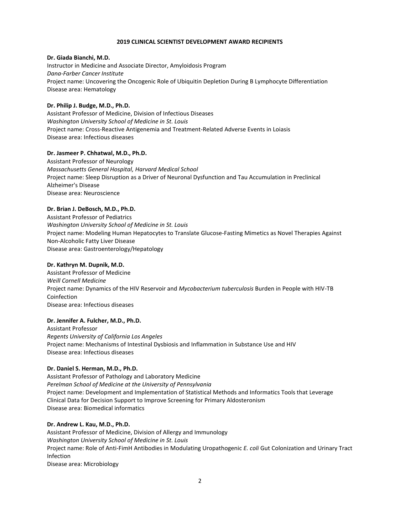# **2019 CLINICAL SCIENTIST DEVELOPMENT AWARD RECIPIENTS**

# **Dr. Giada Bianchi, M.D.**

Instructor in Medicine and Associate Director, Amyloidosis Program *Dana-Farber Cancer Institute* Project name: Uncovering the Oncogenic Role of Ubiquitin Depletion During B Lymphocyte Differentiation Disease area: Hematology

# **Dr. Philip J. Budge, M.D., Ph.D.**

Assistant Professor of Medicine, Division of Infectious Diseases *Washington University School of Medicine in St. Louis* Project name: Cross-Reactive Antigenemia and Treatment-Related Adverse Events in Loiasis Disease area: Infectious diseases

# **Dr. Jasmeer P. Chhatwal, M.D., Ph.D.**

Assistant Professor of Neurology *Massachusetts General Hospital, Harvard Medical School* Project name: Sleep Disruption as a Driver of Neuronal Dysfunction and Tau Accumulation in Preclinical Alzheimer's Disease Disease area: Neuroscience

# **Dr. Brian J. DeBosch, M.D., Ph.D.**

Assistant Professor of Pediatrics *Washington University School of Medicine in St. Louis* Project name: Modeling Human Hepatocytes to Translate Glucose-Fasting Mimetics as Novel Therapies Against Non-Alcoholic Fatty Liver Disease Disease area: Gastroenterology/Hepatology

# **Dr. Kathryn M. Dupnik, M.D.**

Assistant Professor of Medicine *Weill Cornell Medicine* Project name: Dynamics of the HIV Reservoir and *Mycobacterium tuberculosis* Burden in People with HIV-TB Coinfection Disease area: Infectious diseases

# **Dr. Jennifer A. Fulcher, M.D., Ph.D.**

Assistant Professor *Regents University of California Los Angeles* Project name: Mechanisms of Intestinal Dysbiosis and Inflammation in Substance Use and HIV Disease area: Infectious diseases

#### **Dr. Daniel S. Herman, M.D., Ph.D.**

Assistant Professor of Pathology and Laboratory Medicine *Perelman School of Medicine at the University of Pennsylvania* Project name: Development and Implementation of Statistical Methods and Informatics Tools that Leverage Clinical Data for Decision Support to Improve Screening for Primary Aldosteronism Disease area: Biomedical informatics

# **Dr. Andrew L. Kau, M.D., Ph.D.**

Assistant Professor of Medicine, Division of Allergy and Immunology *Washington University School of Medicine in St. Louis* Project name: Role of Anti-FimH Antibodies in Modulating Uropathogenic *E. coli* Gut Colonization and Urinary Tract Infection Disease area: Microbiology